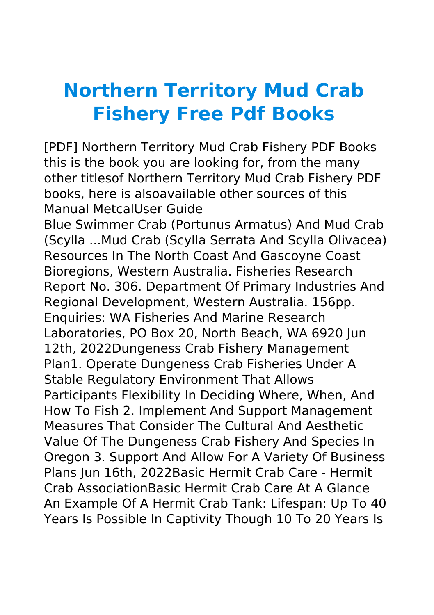## **Northern Territory Mud Crab Fishery Free Pdf Books**

[PDF] Northern Territory Mud Crab Fishery PDF Books this is the book you are looking for, from the many other titlesof Northern Territory Mud Crab Fishery PDF books, here is alsoavailable other sources of this Manual MetcalUser Guide

Blue Swimmer Crab (Portunus Armatus) And Mud Crab (Scylla ...Mud Crab (Scylla Serrata And Scylla Olivacea) Resources In The North Coast And Gascoyne Coast Bioregions, Western Australia. Fisheries Research Report No. 306. Department Of Primary Industries And Regional Development, Western Australia. 156pp. Enquiries: WA Fisheries And Marine Research Laboratories, PO Box 20, North Beach, WA 6920 Jun 12th, 2022Dungeness Crab Fishery Management Plan1. Operate Dungeness Crab Fisheries Under A Stable Regulatory Environment That Allows Participants Flexibility In Deciding Where, When, And How To Fish 2. Implement And Support Management Measures That Consider The Cultural And Aesthetic Value Of The Dungeness Crab Fishery And Species In Oregon 3. Support And Allow For A Variety Of Business Plans Jun 16th, 2022Basic Hermit Crab Care - Hermit Crab AssociationBasic Hermit Crab Care At A Glance An Example Of A Hermit Crab Tank: Lifespan: Up To 40 Years Is Possible In Captivity Though 10 To 20 Years Is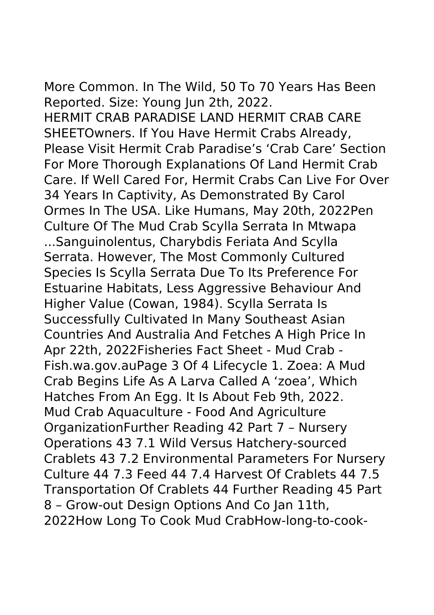More Common. In The Wild, 50 To 70 Years Has Been Reported. Size: Young Jun 2th, 2022. HERMIT CRAB PARADISE LAND HERMIT CRAB CARE SHEETOwners. If You Have Hermit Crabs Already, Please Visit Hermit Crab Paradise's 'Crab Care' Section For More Thorough Explanations Of Land Hermit Crab Care. If Well Cared For, Hermit Crabs Can Live For Over 34 Years In Captivity, As Demonstrated By Carol Ormes In The USA. Like Humans, May 20th, 2022Pen Culture Of The Mud Crab Scylla Serrata In Mtwapa ...Sanguinolentus, Charybdis Feriata And Scylla Serrata. However, The Most Commonly Cultured Species Is Scylla Serrata Due To Its Preference For Estuarine Habitats, Less Aggressive Behaviour And Higher Value (Cowan, 1984). Scylla Serrata Is Successfully Cultivated In Many Southeast Asian Countries And Australia And Fetches A High Price In

Apr 22th, 2022Fisheries Fact Sheet - Mud Crab - Fish.wa.gov.auPage 3 Of 4 Lifecycle 1. Zoea: A Mud Crab Begins Life As A Larva Called A 'zoea', Which Hatches From An Egg. It Is About Feb 9th, 2022. Mud Crab Aquaculture - Food And Agriculture OrganizationFurther Reading 42 Part 7 – Nursery Operations 43 7.1 Wild Versus Hatchery-sourced

8 – Grow-out Design Options And Co Jan 11th,

Crablets 43 7.2 Environmental Parameters For Nursery Culture 44 7.3 Feed 44 7.4 Harvest Of Crablets 44 7.5 Transportation Of Crablets 44 Further Reading 45 Part

2022How Long To Cook Mud CrabHow-long-to-cook-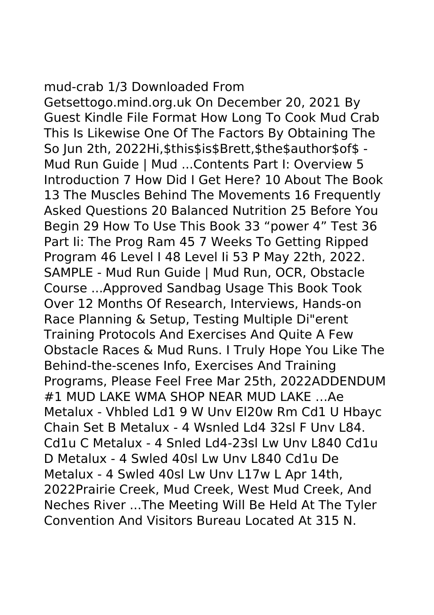## mud-crab 1/3 Downloaded From

Getsettogo.mind.org.uk On December 20, 2021 By Guest Kindle File Format How Long To Cook Mud Crab This Is Likewise One Of The Factors By Obtaining The So Jun 2th, 2022Hi,\$this\$is\$Brett,\$the\$author\$of\$ - Mud Run Guide | Mud ...Contents Part I: Overview 5 Introduction 7 How Did I Get Here? 10 About The Book 13 The Muscles Behind The Movements 16 Frequently Asked Questions 20 Balanced Nutrition 25 Before You Begin 29 How To Use This Book 33 "power 4" Test 36 Part Ii: The Prog Ram 45 7 Weeks To Getting Ripped Program 46 Level I 48 Level Ii 53 P May 22th, 2022. SAMPLE - Mud Run Guide | Mud Run, OCR, Obstacle Course ...Approved Sandbag Usage This Book Took Over 12 Months Of Research, Interviews, Hands-on Race Planning & Setup, Testing Multiple Di"erent Training Protocols And Exercises And Quite A Few Obstacle Races & Mud Runs. I Truly Hope You Like The Behind-the-scenes Info, Exercises And Training Programs, Please Feel Free Mar 25th, 2022ADDENDUM #1 MUD LAKE WMA SHOP NEAR MUD LAKE …Ae Metalux - Vhbled Ld1 9 W Unv El20w Rm Cd1 U Hbayc Chain Set B Metalux - 4 Wsnled Ld4 32sl F Unv L84. Cd1u C Metalux - 4 Snled Ld4-23sl Lw Unv L840 Cd1u D Metalux - 4 Swled 40sl Lw Unv L840 Cd1u De Metalux - 4 Swled 40sl Lw Unv L17w L Apr 14th, 2022Prairie Creek, Mud Creek, West Mud Creek, And Neches River ...The Meeting Will Be Held At The Tyler Convention And Visitors Bureau Located At 315 N.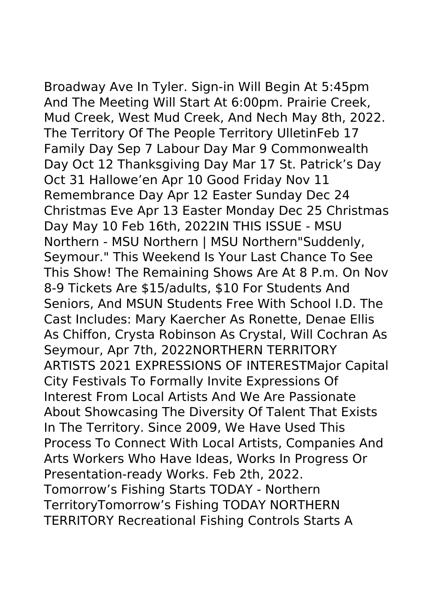Broadway Ave In Tyler. Sign-in Will Begin At 5:45pm And The Meeting Will Start At 6:00pm. Prairie Creek, Mud Creek, West Mud Creek, And Nech May 8th, 2022. The Territory Of The People Territory UlletinFeb 17 Family Day Sep 7 Labour Day Mar 9 Commonwealth Day Oct 12 Thanksgiving Day Mar 17 St. Patrick's Day Oct 31 Hallowe'en Apr 10 Good Friday Nov 11 Remembrance Day Apr 12 Easter Sunday Dec 24 Christmas Eve Apr 13 Easter Monday Dec 25 Christmas Day May 10 Feb 16th, 2022IN THIS ISSUE - MSU Northern - MSU Northern | MSU Northern"Suddenly, Seymour." This Weekend Is Your Last Chance To See This Show! The Remaining Shows Are At 8 P.m. On Nov 8-9 Tickets Are \$15/adults, \$10 For Students And Seniors, And MSUN Students Free With School I.D. The Cast Includes: Mary Kaercher As Ronette, Denae Ellis As Chiffon, Crysta Robinson As Crystal, Will Cochran As Seymour, Apr 7th, 2022NORTHERN TERRITORY ARTISTS 2021 EXPRESSIONS OF INTERESTMajor Capital City Festivals To Formally Invite Expressions Of Interest From Local Artists And We Are Passionate About Showcasing The Diversity Of Talent That Exists In The Territory. Since 2009, We Have Used This Process To Connect With Local Artists, Companies And Arts Workers Who Have Ideas, Works In Progress Or Presentation-ready Works. Feb 2th, 2022. Tomorrow's Fishing Starts TODAY - Northern TerritoryTomorrow's Fishing TODAY NORTHERN

TERRITORY Recreational Fishing Controls Starts A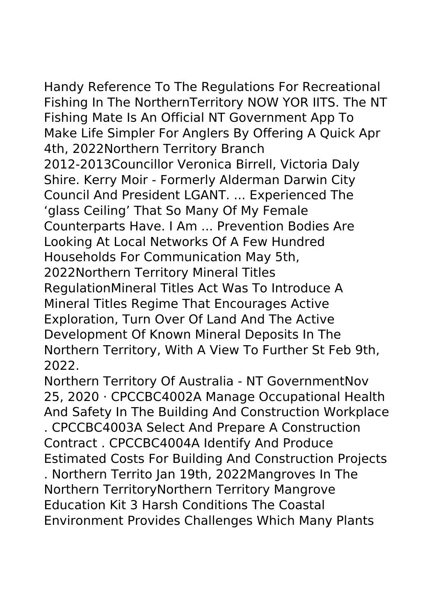Handy Reference To The Regulations For Recreational Fishing In The NorthernTerritory NOW YOR IITS. The NT Fishing Mate Is An Official NT Government App To Make Life Simpler For Anglers By Offering A Quick Apr 4th, 2022Northern Territory Branch 2012-2013Councillor Veronica Birrell, Victoria Daly Shire. Kerry Moir - Formerly Alderman Darwin City Council And President LGANT. ... Experienced The 'glass Ceiling' That So Many Of My Female Counterparts Have. I Am ... Prevention Bodies Are Looking At Local Networks Of A Few Hundred Households For Communication May 5th, 2022Northern Territory Mineral Titles RegulationMineral Titles Act Was To Introduce A Mineral Titles Regime That Encourages Active Exploration, Turn Over Of Land And The Active Development Of Known Mineral Deposits In The Northern Territory, With A View To Further St Feb 9th, 2022.

Northern Territory Of Australia - NT GovernmentNov 25, 2020 · CPCCBC4002A Manage Occupational Health And Safety In The Building And Construction Workplace . CPCCBC4003A Select And Prepare A Construction Contract . CPCCBC4004A Identify And Produce Estimated Costs For Building And Construction Projects . Northern Territo Jan 19th, 2022Mangroves In The Northern TerritoryNorthern Territory Mangrove Education Kit 3 Harsh Conditions The Coastal Environment Provides Challenges Which Many Plants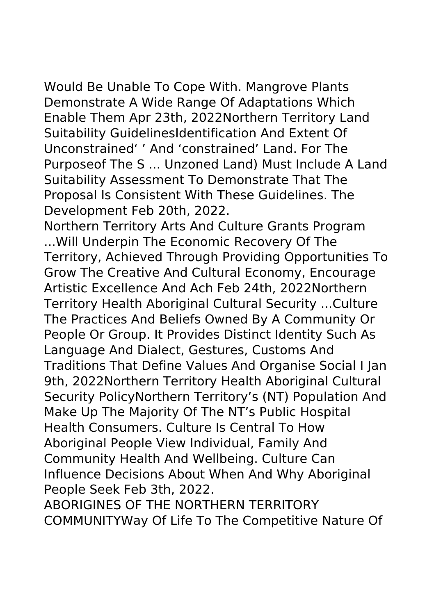Would Be Unable To Cope With. Mangrove Plants Demonstrate A Wide Range Of Adaptations Which Enable Them Apr 23th, 2022Northern Territory Land Suitability GuidelinesIdentification And Extent Of Unconstrained' ' And 'constrained' Land. For The Purposeof The S ... Unzoned Land) Must Include A Land Suitability Assessment To Demonstrate That The Proposal Is Consistent With These Guidelines. The Development Feb 20th, 2022.

Northern Territory Arts And Culture Grants Program ...Will Underpin The Economic Recovery Of The Territory, Achieved Through Providing Opportunities To Grow The Creative And Cultural Economy, Encourage Artistic Excellence And Ach Feb 24th, 2022Northern Territory Health Aboriginal Cultural Security ...Culture The Practices And Beliefs Owned By A Community Or People Or Group. It Provides Distinct Identity Such As Language And Dialect, Gestures, Customs And Traditions That Define Values And Organise Social I Jan 9th, 2022Northern Territory Health Aboriginal Cultural Security PolicyNorthern Territory's (NT) Population And Make Up The Majority Of The NT's Public Hospital Health Consumers. Culture Is Central To How Aboriginal People View Individual, Family And Community Health And Wellbeing. Culture Can Influence Decisions About When And Why Aboriginal People Seek Feb 3th, 2022.

ABORIGINES OF THE NORTHERN TERRITORY COMMUNITYWay Of Life To The Competitive Nature Of